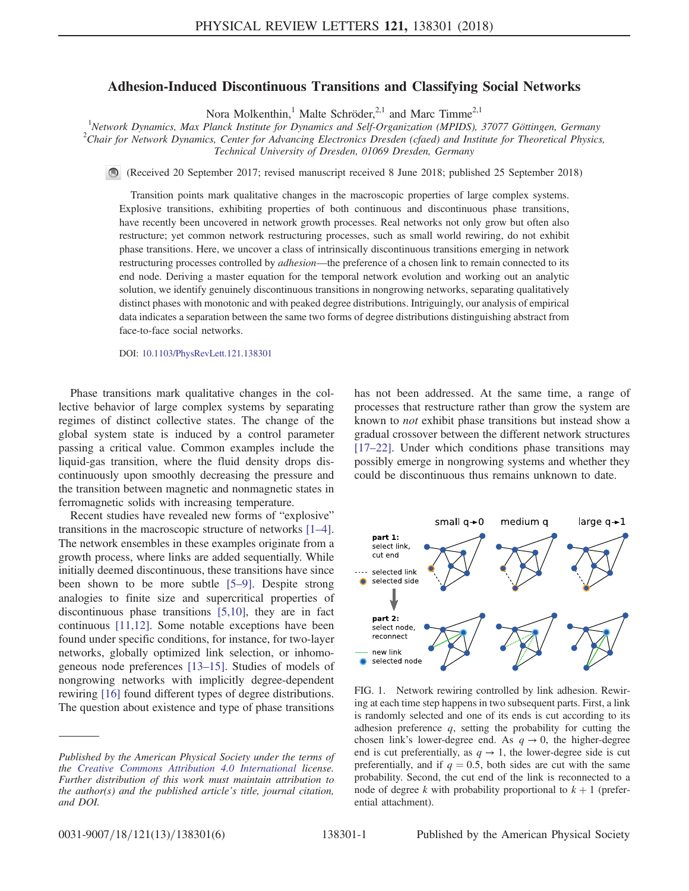## Adhesion-Induced Discontinuous Transitions and Classifying Social Networks

Nora Molkenthin,<sup>1</sup> Malte Schröder,<sup>2,1</sup> and Marc Timme<sup>2,1</sup>

<sup>1</sup>Network Dynamics, Max Planck Institute for Dynamics and Self-Organization (MPIDS), 37077 Göttingen, Germany<br><sup>2</sup>Chair for Naturals Dynamics, Center for Advancing Electronics Dresden (gfood) and Institute for Theoretical  $^{2}$ Chair for Network Dynamics, Center for Advancing Electronics Dresden (cfaed) and Institute for Theoretical Physics, Technical University of Dresden, 01069 Dresden, Germany

(Received 20 September 2017; revised manuscript received 8 June 2018; published 25 September 2018)

Transition points mark qualitative changes in the macroscopic properties of large complex systems. Explosive transitions, exhibiting properties of both continuous and discontinuous phase transitions, have recently been uncovered in network growth processes. Real networks not only grow but often also restructure; yet common network restructuring processes, such as small world rewiring, do not exhibit phase transitions. Here, we uncover a class of intrinsically discontinuous transitions emerging in network restructuring processes controlled by *adhesion*—the preference of a chosen link to remain connected to its end node. Deriving a master equation for the temporal network evolution and working out an analytic solution, we identify genuinely discontinuous transitions in nongrowing networks, separating qualitatively distinct phases with monotonic and with peaked degree distributions. Intriguingly, our analysis of empirical data indicates a separation between the same two forms of degree distributions distinguishing abstract from face-to-face social networks.

DOI: [10.1103/PhysRevLett.121.138301](https://doi.org/10.1103/PhysRevLett.121.138301)

Phase transitions mark qualitative changes in the collective behavior of large complex systems by separating regimes of distinct collective states. The change of the global system state is induced by a control parameter passing a critical value. Common examples include the liquid-gas transition, where the fluid density drops discontinuously upon smoothly decreasing the pressure and the transition between magnetic and nonmagnetic states in ferromagnetic solids with increasing temperature.

Recent studies have revealed new forms of "explosive" transitions in the macroscopic structure of networks [\[1](#page-4-0)–4]. The network ensembles in these examples originate from a growth process, where links are added sequentially. While initially deemed discontinuous, these transitions have since been shown to be more subtle [5–[9\].](#page-4-1) Despite strong analogies to finite size and supercritical properties of discontinuous phase transitions [\[5,10\]](#page-4-1), they are in fact continuous [\[11,12\].](#page-4-2) Some notable exceptions have been found under specific conditions, for instance, for two-layer networks, globally optimized link selection, or inhomogeneous node preferences [13–[15\].](#page-4-3) Studies of models of nongrowing networks with implicitly degree-dependent rewiring [\[16\]](#page-4-4) found different types of degree distributions. The question about existence and type of phase transitions

Published by the American Physical Society under the terms of the [Creative Commons Attribution 4.0 International](https://creativecommons.org/licenses/by/4.0/) license. Further distribution of this work must maintain attribution to the author(s) and the published article's title, journal citation, and DOI.

has not been addressed. At the same time, a range of processes that restructure rather than grow the system are known to not exhibit phase transitions but instead show a gradual crossover between the different network structures [\[17](#page-4-5)–22]. Under which conditions phase transitions may possibly emerge in nongrowing systems and whether they could be discontinuous thus remains unknown to date.

<span id="page-0-0"></span>

FIG. 1. Network rewiring controlled by link adhesion. Rewiring at each time step happens in two subsequent parts. First, a link is randomly selected and one of its ends is cut according to its adhesion preference  $q$ , setting the probability for cutting the chosen link's lower-degree end. As  $q \rightarrow 0$ , the higher-degree end is cut preferentially, as  $q \rightarrow 1$ , the lower-degree side is cut preferentially, and if  $q = 0.5$ , both sides are cut with the same probability. Second, the cut end of the link is reconnected to a node of degree k with probability proportional to  $k + 1$  (preferential attachment).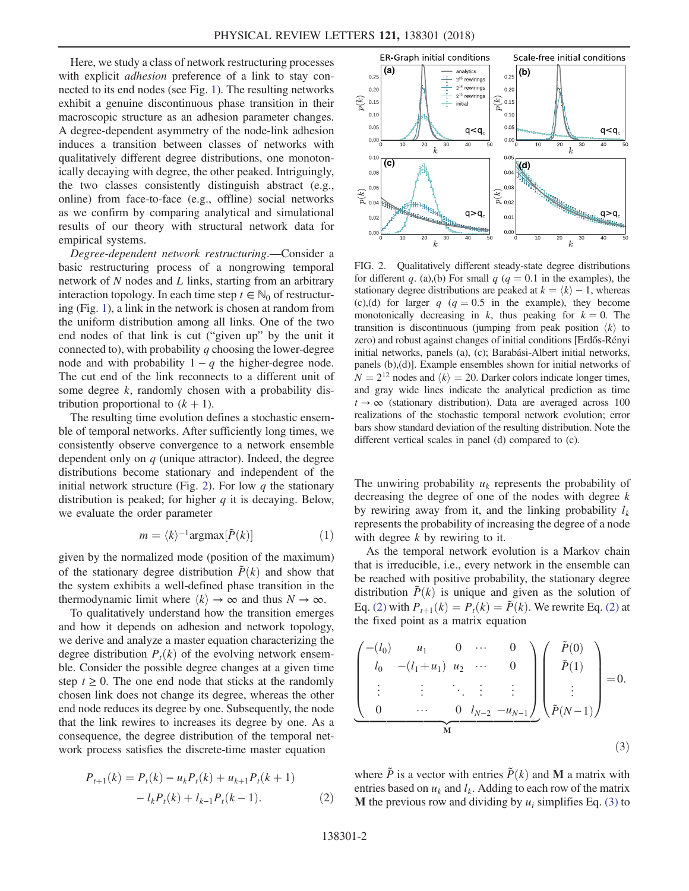Here, we study a class of network restructuring processes with explicit *adhesion* preference of a link to stay connected to its end nodes (see Fig. [1\)](#page-0-0). The resulting networks exhibit a genuine discontinuous phase transition in their macroscopic structure as an adhesion parameter changes. A degree-dependent asymmetry of the node-link adhesion induces a transition between classes of networks with qualitatively different degree distributions, one monotonically decaying with degree, the other peaked. Intriguingly, the two classes consistently distinguish abstract (e.g., online) from face-to-face (e.g., offline) social networks as we confirm by comparing analytical and simulational results of our theory with structural network data for empirical systems.

Degree-dependent network restructuring.—Consider a basic restructuring process of a nongrowing temporal network of N nodes and L links, starting from an arbitrary interaction topology. In each time step  $t \in \mathbb{N}_0$  of restructuring (Fig. [1](#page-0-0)), a link in the network is chosen at random from the uniform distribution among all links. One of the two end nodes of that link is cut ("given up" by the unit it connected to), with probability  $q$  choosing the lower-degree node and with probability  $1 - q$  the higher-degree node. The cut end of the link reconnects to a different unit of some degree k, randomly chosen with a probability distribution proportional to  $(k + 1)$ .

The resulting time evolution defines a stochastic ensemble of temporal networks. After sufficiently long times, we consistently observe convergence to a network ensemble dependent only on  $q$  (unique attractor). Indeed, the degree distributions become stationary and independent of the initial network structure (Fig. [2](#page-1-0)). For low  $q$  the stationary distribution is peaked; for higher  $q$  it is decaying. Below, we evaluate the order parameter

$$
m = \langle k \rangle^{-1} \text{argmax}[\tilde{P}(k)] \tag{1}
$$

given by the normalized mode (position of the maximum) of the stationary degree distribution  $\tilde{P}(k)$  and show that the system exhibits a well-defined phase transition in the thermodynamic limit where  $\langle k \rangle \rightarrow \infty$  and thus  $N \rightarrow \infty$ .

To qualitatively understand how the transition emerges and how it depends on adhesion and network topology, we derive and analyze a master equation characterizing the degree distribution  $P_t(k)$  of the evolving network ensemble. Consider the possible degree changes at a given time step  $t \geq 0$ . The one end node that sticks at the randomly chosen link does not change its degree, whereas the other end node reduces its degree by one. Subsequently, the node that the link rewires to increases its degree by one. As a consequence, the degree distribution of the temporal network process satisfies the discrete-time master equation

<span id="page-1-1"></span>
$$
P_{t+1}(k) = P_t(k) - u_k P_t(k) + u_{k+1} P_t(k+1)
$$

$$
- l_k P_t(k) + l_{k-1} P_t(k-1).
$$
 (2)

<span id="page-1-0"></span>

FIG. 2. Qualitatively different steady-state degree distributions for different q. (a),(b) For small q ( $q = 0.1$  in the examples), the stationary degree distributions are peaked at  $k = \langle k \rangle - 1$ , whereas (c),(d) for larger q ( $q = 0.5$  in the example), they become monotonically decreasing in k, thus peaking for  $k = 0$ . The transition is discontinuous (jumping from peak position  $\langle k \rangle$  to zero) and robust against changes of initial conditions [Erdős-Rényi initial networks, panels (a), (c); Barabási-Albert initial networks, panels (b),(d)]. Example ensembles shown for initial networks of  $N = 2^{12}$  nodes and  $\langle k \rangle = 20$ . Darker colors indicate longer times, and gray wide lines indicate the analytical prediction as time  $t \rightarrow \infty$  (stationary distribution). Data are averaged across 100 realizations of the stochastic temporal network evolution; error bars show standard deviation of the resulting distribution. Note the different vertical scales in panel (d) compared to (c).

The unwiring probability  $u_k$  represents the probability of decreasing the degree of one of the nodes with degree  $k$ by rewiring away from it, and the linking probability  $l_k$ represents the probability of increasing the degree of a node with degree  $k$  by rewiring to it.

As the temporal network evolution is a Markov chain that is irreducible, i.e., every network in the ensemble can be reached with positive probability, the stationary degree distribution  $\tilde{P}(k)$  is unique and given as the solution of Eq. [\(2\)](#page-1-1) with  $P_{t+1}(k) = P_t(k) = \tilde{P}(k)$ . We rewrite Eq. (2) at the fixed point as a matrix equation

<span id="page-1-2"></span>
$$
\begin{pmatrix}\n-(l_0) & u_1 & 0 & \cdots & 0 \\
l_0 & -(l_1 + u_1) & u_2 & \cdots & 0 \\
\vdots & \vdots & \ddots & \vdots & \vdots \\
0 & \cdots & 0 & l_{N-2} & -u_{N-1}\n\end{pmatrix}\n\begin{pmatrix}\n\tilde{P}(0) \\
\tilde{P}(1) \\
\vdots \\
\tilde{P}(N-1)\n\end{pmatrix} = 0.
$$
\n(3)

where  $\tilde{P}$  is a vector with entries  $\tilde{P}(k)$  and M a matrix with entries based on  $u_k$  and  $l_k$ . Adding to each row of the matrix **M** the previous row and dividing by  $u_i$  simplifies Eq. [\(3\)](#page-1-2) to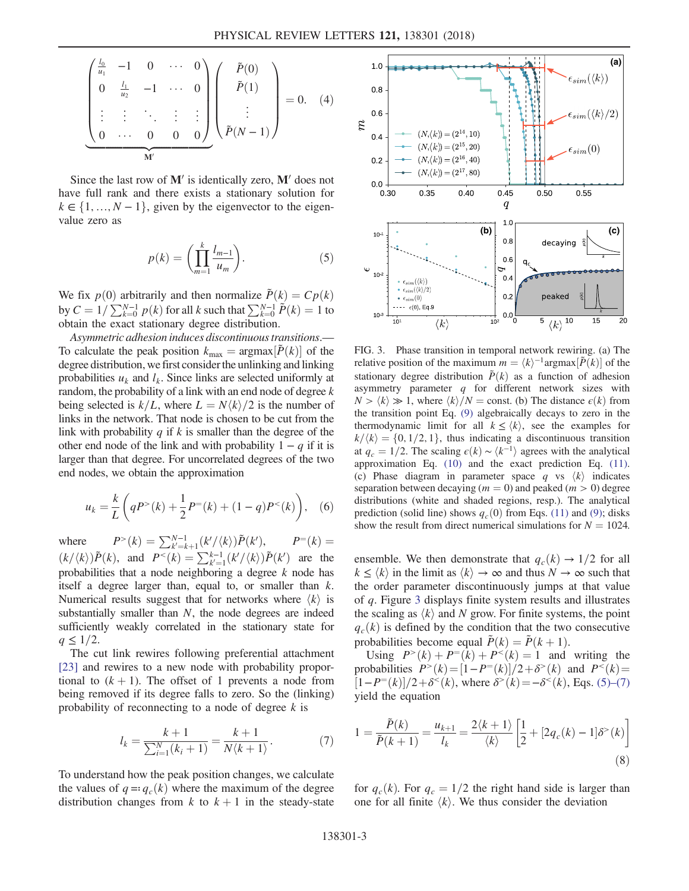$$
\begin{pmatrix}\n\frac{l_0}{u_1} & -1 & 0 & \cdots & 0 \\
0 & \frac{l_1}{u_2} & -1 & \cdots & 0 \\
\vdots & \vdots & \ddots & \vdots & \vdots \\
0 & \cdots & 0 & 0 & 0\n\end{pmatrix}\n\begin{pmatrix}\n\tilde{P}(0) \\
\tilde{P}(1) \\
\vdots \\
\tilde{P}(N-1)\n\end{pmatrix} = 0.
$$
\n(4)

<span id="page-2-1"></span>Since the last row of  $M'$  is identically zero,  $M'$  does not have full rank and there exists a stationary solution for  $k \in \{1, ..., N - 1\}$ , given by the eigenvector to the eigenvalue zero as

$$
p(k) = \left(\prod_{m=1}^{k} \frac{l_{m-1}}{u_m}\right).
$$
 (5)

We fix  $p(0)$  arbitrarily and then normalize  $\tilde{P}(k) = Cp(k)$ by  $C = 1/\sum_{k=0}^{N-1} p(k)$  for all k such that  $\sum_{k=0}^{N-1} \tilde{P}(k) = 1$  to obtain the exact stationary degree distribution obtain the exact stationary degree distribution.

Asymmetric adhesion induces discontinuous transitions.— To calculate the peak position  $k_{\text{max}} = \text{argmax}[\tilde{P}(k)]$  of the degree distribution we first consider the unlinking and linking degree distribution, we first consider the unlinking and linking probabilities  $u_k$  and  $l_k$ . Since links are selected uniformly at random, the probability of a link with an end node of degree  $k$ being selected is  $k/L$ , where  $L = N \langle k \rangle/2$  is the number of links in the network. That node is chosen to be cut from the link with probability  $q$  if  $k$  is smaller than the degree of the other end node of the link and with probability  $1 - q$  if it is larger than that degree. For uncorrelated degrees of the two end nodes, we obtain the approximation

$$
u_k = \frac{k}{L} \left( qP^>(k) + \frac{1}{2}P^=(k) + (1-q)P^<(k) \right), \quad (6)
$$

where  $P>(k) = \sum_{k'=k+1}^{N-1} (k'/\langle k \rangle) \tilde{P}(k')$ ),  $P=(k)=$  $(k/\langle k \rangle) \tilde{P}(k)$ , and  $P^{<}(k) = \sum_{k'=1}^{k-1} (k'/\langle k \rangle) \tilde{P}(k')$  are the probabilities that a node peighboring a degree k node has probabilities that a node neighboring a degree  $k$  node has itself a degree larger than, equal to, or smaller than k. Numerical results suggest that for networks where  $\langle k \rangle$  is substantially smaller than  $N$ , the node degrees are indeed sufficiently weakly correlated in the stationary state for  $q \leq 1/2$ .

The cut link rewires following preferential attachment [\[23\]](#page-5-0) and rewires to a new node with probability proportional to  $(k + 1)$ . The offset of 1 prevents a node from being removed if its degree falls to zero. So the (linking) probability of reconnecting to a node of degree  $k$  is

$$
l_k = \frac{k+1}{\sum_{i=1}^{N} (k_i + 1)} = \frac{k+1}{N \langle k+1 \rangle}.
$$
 (7)

To understand how the peak position changes, we calculate the values of  $q = q_c(k)$  where the maximum of the degree distribution changes from k to  $k + 1$  in the steady-state

<span id="page-2-0"></span>

FIG. 3. Phase transition in temporal network rewiring. (a) The relative position of the maximum  $m = \langle k \rangle^{-1} \text{argmax}[\tilde{P}(k)]$  of the stationary degree distribution  $\tilde{P}(k)$  as a function of adhesion stationary degree distribution  $\tilde{P}(k)$  as a function of adhesion asymmetry parameter  $q$  for different network sizes with  $N > \langle k \rangle \gg 1$ , where  $\langle k \rangle/N = \text{const.}$  (b) The distance  $\epsilon(k)$  from the transition point Eq. [\(9\)](#page-2-2) algebraically decays to zero in the thermodynamic limit for all  $k \leq \langle k \rangle$ , see the examples for  $k/\langle k\rangle = \{0, 1/2, 1\}$ , thus indicating a discontinuous transition at  $q_c = 1/2$ . The scaling  $\epsilon(k) \sim \langle k^{-1} \rangle$  agrees with the analytical approximation Eq. [\(10\)](#page-3-0) and the exact prediction Eq. [\(11\).](#page-3-1) (c) Phase diagram in parameter space q vs  $\langle k \rangle$  indicates separation between decaying  $(m = 0)$  and peaked  $(m > 0)$  degree distributions (white and shaded regions, resp.). The analytical prediction (solid line) shows  $q_c(0)$  from Eqs. [\(11\)](#page-3-1) and [\(9\)](#page-2-2); disks show the result from direct numerical simulations for  $N = 1024$ .

ensemble. We then demonstrate that  $q_c(k) \rightarrow 1/2$  for all  $k \leq \langle k \rangle$  in the limit as  $\langle k \rangle \rightarrow \infty$  and thus  $N \rightarrow \infty$  such that the order parameter discontinuously jumps at that value of q. Figure [3](#page-2-0) displays finite system results and illustrates the scaling as  $\langle k \rangle$  and N grow. For finite systems, the point  $q_c(k)$  is defined by the condition that the two consecutive probabilities become equal  $\tilde{P}(k) = \tilde{P}(k+1)$ .

Using  $P^{(k)} + P^{-}(k) + P^{(k)} = 1$  and writing the probabilities  $P^>(k) = [1 - P^=(k)]/2 + \delta^>(k)$  and  $P^<(k) =$ <br> $[1 - P^=(k)]/2 + \delta^<(k)$  where  $\delta^>(k) = -\delta^<(k)$  Eqs. (5)–(7)  $[1-P=(k)]/2+\delta^{<}(k)$ , where  $\delta^{>}(k)=-\delta^{<}(k)$ , Eqs. (5)–[\(7\)](#page-2-1) vield the equation yield the equation

<span id="page-2-3"></span>
$$
1 = \frac{\tilde{P}(k)}{\tilde{P}(k+1)} = \frac{u_{k+1}}{l_k} = \frac{2\langle k+1\rangle}{\langle k\rangle} \left[\frac{1}{2} + [2q_c(k) - 1]\delta^>(k)\right]
$$
\n(8)

<span id="page-2-2"></span>for  $q_c(k)$ . For  $q_c = 1/2$  the right hand side is larger than one for all finite  $\langle k \rangle$ . We thus consider the deviation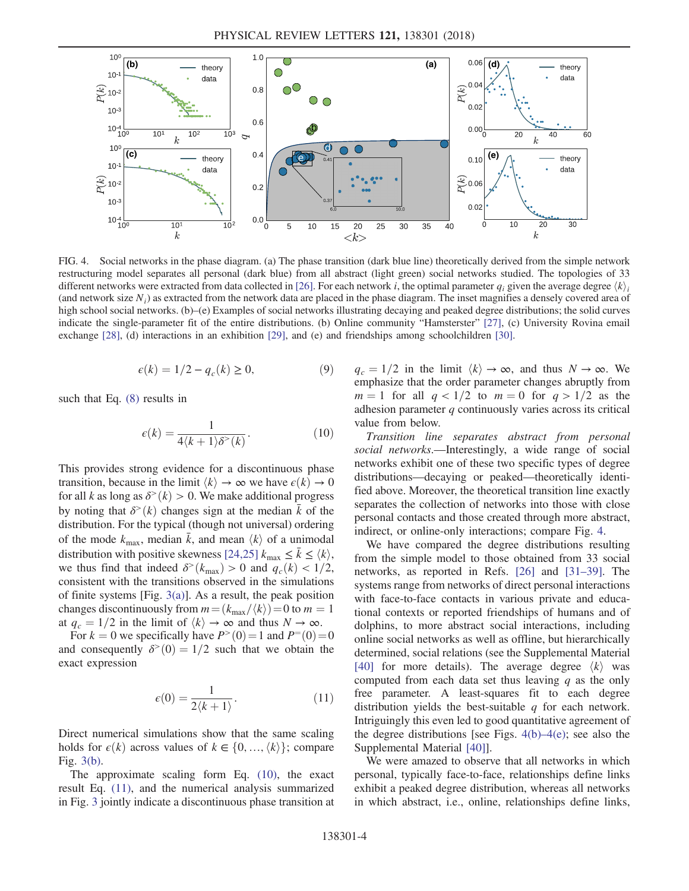<span id="page-3-2"></span>

FIG. 4. Social networks in the phase diagram. (a) The phase transition (dark blue line) theoretically derived from the simple network restructuring model separates all personal (dark blue) from all abstract (light green) social networks studied. The topologies of 33 different networks were extracted from data collected in [\[26\]](#page-5-2). For each network i, the optimal parameter  $q_i$  given the average degree  $\langle k \rangle$ . (and network size  $N_i$ ) as extracted from the network data are placed in the phase diagram. The inset magnifies a densely covered area of high school social networks. (b)–(e) Examples of social networks illustrating decaying and peaked degree distributions; the solid curves indicate the single-parameter fit of the entire distributions. (b) Online community "Hamsterster" [\[27\],](#page-5-5) (c) University Rovina email exchange [\[28\],](#page-5-6) (d) interactions in an exhibition [\[29\],](#page-5-7) and (e) and friendships among schoolchildren [\[30\].](#page-5-8)

$$
\epsilon(k) = 1/2 - q_c(k) \ge 0,\tag{9}
$$

<span id="page-3-0"></span>such that Eq. [\(8\)](#page-2-3) results in

$$
\epsilon(k) = \frac{1}{4\langle k+1 \rangle \delta^>(k)}.\tag{10}
$$

This provides strong evidence for a discontinuous phase transition, because in the limit  $\langle k \rangle \rightarrow \infty$  we have  $\epsilon(k) \rightarrow 0$ for all k as long as  $\delta^>(k) > 0$ . We make additional progress by noting that  $\delta^>(k)$  changes sign at the median k of the distribution. For the typical (though not universal) ordering of the mode  $k_{\text{max}}$ , median  $\bar{k}$ , and mean  $\langle k \rangle$  of a unimodal distribution with positive skewness [\[24,25\]](#page-5-1)  $k_{\text{max}} \le \bar{k} \le \langle k \rangle$ , we thus find that indeed  $\delta^>(k_{\text{max}}) > 0$  and  $q_c(k) < 1/2$ , consistent with the transitions observed in the simulations of finite systems [Fig.  $3(a)$ ]. As a result, the peak position changes discontinuously from  $m = (k_{\text{max}}/\langle k \rangle) = 0$  to  $m = 1$ at  $q_c = 1/2$  in the limit of  $\langle k \rangle \rightarrow \infty$  and thus  $N \rightarrow \infty$ .

<span id="page-3-1"></span>For  $k = 0$  we specifically have  $P<sup>></sup>(0) = 1$  and  $P<sup>=</sup>(0) = 0$ and consequently  $\delta^>(0) = 1/2$  such that we obtain the exact expression

$$
\epsilon(0) = \frac{1}{2\langle k+1 \rangle}.\tag{11}
$$

Direct numerical simulations show that the same scaling holds for  $\epsilon(k)$  across values of  $k \in \{0, \ldots, \langle k \rangle\}$ ; compare Fig. [3\(b\)](#page-2-0).

The approximate scaling form Eq. [\(10\)](#page-3-0), the exact result Eq. [\(11\)](#page-3-1), and the numerical analysis summarized in Fig. [3](#page-2-0) jointly indicate a discontinuous phase transition at  $q_c = 1/2$  in the limit  $\langle k \rangle \rightarrow \infty$ , and thus  $N \rightarrow \infty$ . We emphasize that the order parameter changes abruptly from  $m = 1$  for all  $q < 1/2$  to  $m = 0$  for  $q > 1/2$  as the adhesion parameter  $q$  continuously varies across its critical value from below.

Transition line separates abstract from personal social networks.—Interestingly, a wide range of social networks exhibit one of these two specific types of degree distributions—decaying or peaked—theoretically identified above. Moreover, the theoretical transition line exactly separates the collection of networks into those with close personal contacts and those created through more abstract, indirect, or online-only interactions; compare Fig. [4](#page-3-2).

We have compared the degree distributions resulting from the simple model to those obtained from 33 social networks, as reported in Refs. [\[26\]](#page-5-2) and [\[31](#page-5-3)–39]. The systems range from networks of direct personal interactions with face-to-face contacts in various private and educational contexts or reported friendships of humans and of dolphins, to more abstract social interactions, including online social networks as well as offline, but hierarchically determined, social relations (see the Supplemental Material [\[40\]](#page-5-4) for more details). The average degree  $\langle k \rangle$  was computed from each data set thus leaving  $q$  as the only free parameter. A least-squares fit to each degree distribution yields the best-suitable  $q$  for each network. Intriguingly this even led to good quantitative agreement of the degree distributions [see Figs.  $4(b)$ – $4(e)$ ; see also the Supplemental Material [\[40\]\]](#page-5-4).

We were amazed to observe that all networks in which personal, typically face-to-face, relationships define links exhibit a peaked degree distribution, whereas all networks in which abstract, i.e., online, relationships define links,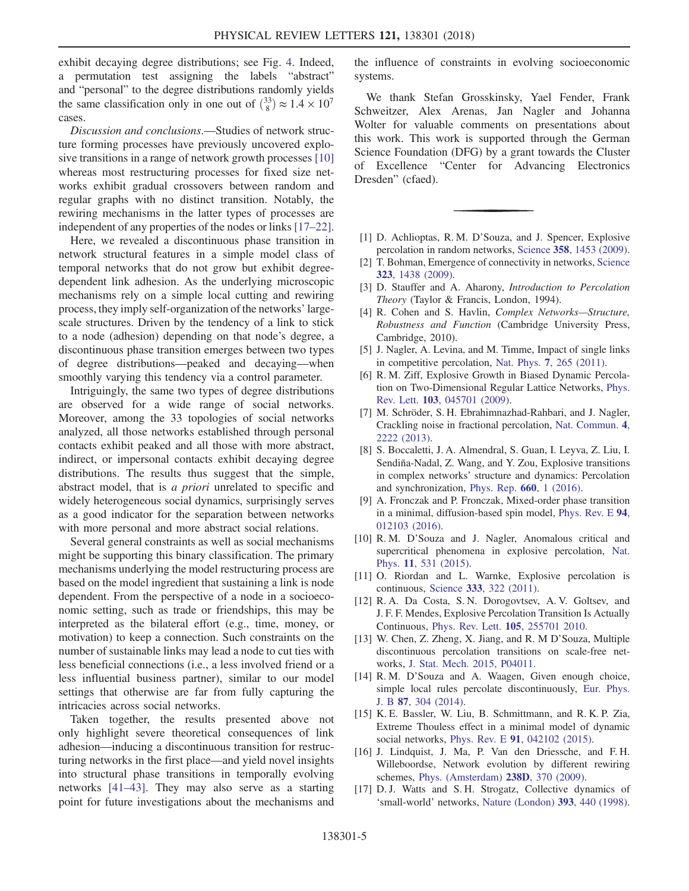exhibit decaying degree distributions; see Fig. [4](#page-3-2). Indeed, a permutation test assigning the labels "abstract" and "personal" to the degree distributions randomly yields the same classification only in one out of  $\binom{33}{8} \approx 1.4 \times 10^7$ cases.

Discussion and conclusions.—Studies of network structure forming processes have previously uncovered explosive transitions in a range of network growth processes [\[10\]](#page-4-6) whereas most restructuring processes for fixed size networks exhibit gradual crossovers between random and regular graphs with no distinct transition. Notably, the rewiring mechanisms in the latter types of processes are independent of any properties of the nodes or links [\[17](#page-4-5)–22].

Here, we revealed a discontinuous phase transition in network structural features in a simple model class of temporal networks that do not grow but exhibit degreedependent link adhesion. As the underlying microscopic mechanisms rely on a simple local cutting and rewiring process, they imply self-organization of the networks' largescale structures. Driven by the tendency of a link to stick to a node (adhesion) depending on that node's degree, a discontinuous phase transition emerges between two types of degree distributions—peaked and decaying—when smoothly varying this tendency via a control parameter.

Intriguingly, the same two types of degree distributions are observed for a wide range of social networks. Moreover, among the 33 topologies of social networks analyzed, all those networks established through personal contacts exhibit peaked and all those with more abstract, indirect, or impersonal contacts exhibit decaying degree distributions. The results thus suggest that the simple, abstract model, that is a priori unrelated to specific and widely heterogeneous social dynamics, surprisingly serves as a good indicator for the separation between networks with more personal and more abstract social relations.

Several general constraints as well as social mechanisms might be supporting this binary classification. The primary mechanisms underlying the model restructuring process are based on the model ingredient that sustaining a link is node dependent. From the perspective of a node in a socioeconomic setting, such as trade or friendships, this may be interpreted as the bilateral effort (e.g., time, money, or motivation) to keep a connection. Such constraints on the number of sustainable links may lead a node to cut ties with less beneficial connections (i.e., a less involved friend or a less influential business partner), similar to our model settings that otherwise are far from fully capturing the intricacies across social networks.

Taken together, the results presented above not only highlight severe theoretical consequences of link adhesion—inducing a discontinuous transition for restructuring networks in the first place—and yield novel insights into structural phase transitions in temporally evolving networks [\[41](#page-5-9)–43]. They may also serve as a starting point for future investigations about the mechanisms and

the influence of constraints in evolving socioeconomic systems.

We thank Stefan Grosskinsky, Yael Fender, Frank Schweitzer, Alex Arenas, Jan Nagler and Johanna Wolter for valuable comments on presentations about this work. This work is supported through the German Science Foundation (DFG) by a grant towards the Cluster of Excellence "Center for Advancing Electronics Dresden" (cfaed).

- <span id="page-4-0"></span>[1] D. Achlioptas, R. M. D'Souza, and J. Spencer, Explosive percolation in random networks, Science 358[, 1453 \(2009\).](https://doi.org/10.1126/science.1167782)
- [2] T. Bohman, Emergence of connectivity in networks, [Science](https://doi.org/10.1126/science.1171297) 323[, 1438 \(2009\)](https://doi.org/10.1126/science.1171297).
- [3] D. Stauffer and A. Aharony, *Introduction to Percolation* Theory (Taylor & Francis, London, 1994).
- <span id="page-4-1"></span>[4] R. Cohen and S. Havlin, *Complex Networks—Structure*, Robustness and Function (Cambridge University Press, Cambridge, 2010).
- [5] J. Nagler, A. Levina, and M. Timme, Impact of single links in competitive percolation, Nat. Phys. 7[, 265 \(2011\)](https://doi.org/10.1038/nphys1860).
- [6] R. M. Ziff, Explosive Growth in Biased Dynamic Percolation on Two-Dimensional Regular Lattice Networks, [Phys.](https://doi.org/10.1103/PhysRevLett.103.045701) Rev. Lett. 103[, 045701 \(2009\).](https://doi.org/10.1103/PhysRevLett.103.045701)
- [7] M. Schröder, S. H. Ebrahimnazhad-Rahbari, and J. Nagler, Crackling noise in fractional percolation, [Nat. Commun.](https://doi.org/10.1038/ncomms3222) 4, [2222 \(2013\)](https://doi.org/10.1038/ncomms3222).
- [8] S. Boccaletti, J. A. Almendral, S. Guan, I. Leyva, Z. Liu, I. Sendiña-Nadal, Z. Wang, and Y. Zou, Explosive transitions in complex networks' structure and dynamics: Percolation and synchronization, [Phys. Rep.](https://doi.org/10.1016/j.physrep.2016.10.004) 660, 1 (2016).
- <span id="page-4-6"></span>[9] A. Fronczak and P. Fronczak, Mixed-order phase transition in a minimal, diffusion-based spin model, [Phys. Rev. E](https://doi.org/10.1103/PhysRevE.94.012103) 94, [012103 \(2016\).](https://doi.org/10.1103/PhysRevE.94.012103)
- <span id="page-4-2"></span>[10] R. M. D'Souza and J. Nagler, Anomalous critical and supercritical phenomena in explosive percolation, [Nat.](https://doi.org/10.1038/nphys3378) Phys. 11[, 531 \(2015\).](https://doi.org/10.1038/nphys3378)
- [11] O. Riordan and L. Warnke, Explosive percolation is continuous, Science 333[, 322 \(2011\)](https://doi.org/10.1126/science.1206241).
- <span id="page-4-3"></span>[12] R. A. Da Costa, S. N. Dorogovtsev, A. V. Goltsev, and J. F. F. Mendes, Explosive Percolation Transition Is Actually Continuous, [Phys. Rev. Lett.](https://doi.org/10.1103/PhysRevLett.105.255701) 105, 255701 2010.
- [13] W. Chen, Z. Zheng, X. Jiang, and R. M D'Souza, Multiple discontinuous percolation transitions on scale-free networks, [J. Stat. Mech. 2015, P04011.](https://doi.org/10.1088/1742-5468/2015/04/P04011)
- [14] R.M. D'Souza and A. Waagen, Given enough choice, simple local rules percolate discontinuously, [Eur. Phys.](https://doi.org/10.1140/epjb/e2014-50278-x) J. B 87[, 304 \(2014\).](https://doi.org/10.1140/epjb/e2014-50278-x)
- <span id="page-4-4"></span>[15] K. E. Bassler, W. Liu, B. Schmittmann, and R. K. P. Zia, Extreme Thouless effect in a minimal model of dynamic social networks, Phys. Rev. E 91[, 042102 \(2015\).](https://doi.org/10.1103/PhysRevE.91.042102)
- <span id="page-4-5"></span>[16] J. Lindquist, J. Ma, P. Van den Driessche, and F. H. Willeboordse, Network evolution by different rewiring schemes, [Phys. \(Amsterdam\)](https://doi.org/10.1016/j.physd.2008.10.016) 238D, 370 (2009).
- [17] D. J. Watts and S. H. Strogatz, Collective dynamics of 'small-world' networks, [Nature \(London\)](https://doi.org/10.1038/30918) 393, 440 (1998).